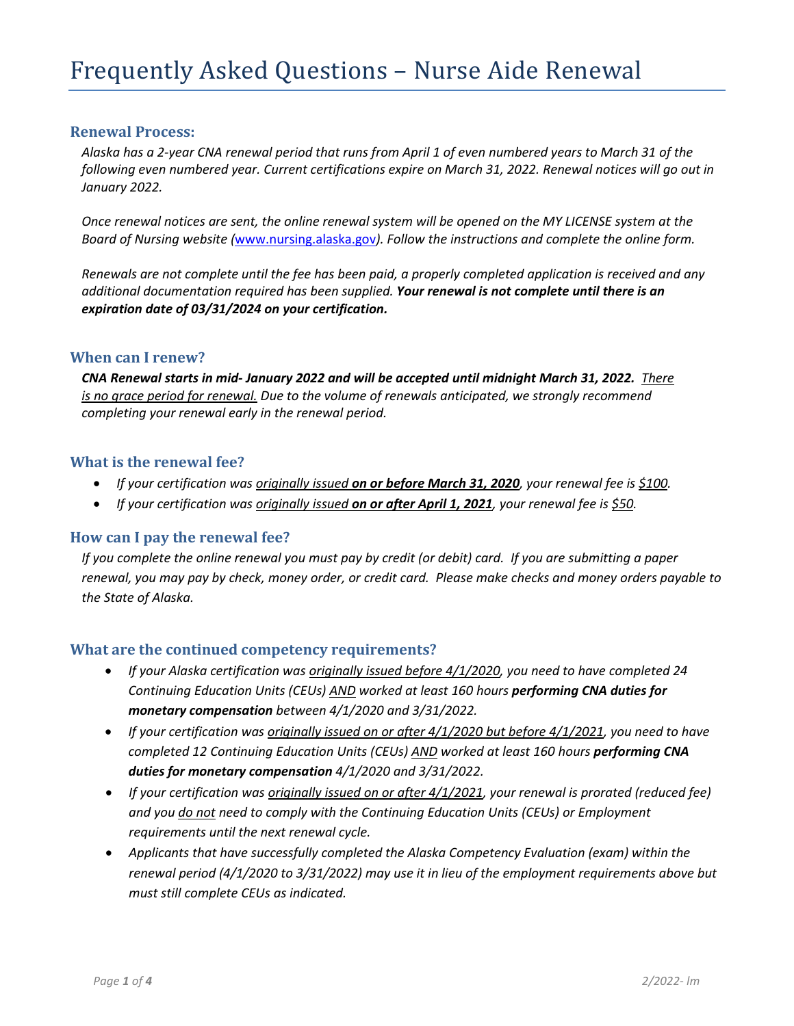#### **Renewal Process:**

*Alaska has a 2-year CNA renewal period that runs from April 1 of even numbered years to March 31 of the following even numbered year. Current certifications expire on March 31, 2022. Renewal notices will go out in January 2022.* 

*Once renewal notices are sent, the online renewal system will be opened on the MY LICENSE system at the Board of Nursing website (*[www.nursing.alaska.gov](http://www.nursing.alaska.gov/)*). Follow the instructions and complete the online form.*

*Renewals are not complete until the fee has been paid, a properly completed application is received and any additional documentation required has been supplied. Your renewal is not complete until there is an expiration date of 03/31/2024 on your certification.*

#### **When can I renew?**

*CNA Renewal starts in mid- January 2022 and will be accepted until midnight March 31, 2022. There is no grace period for renewal. Due to the volume of renewals anticipated, we strongly recommend completing your renewal early in the renewal period.*

#### **What is the renewal fee?**

- *If your certification was originally issued on or before March 31, 2020, your renewal fee is \$100.*
- *If your certification was originally issued on or after April 1, 2021, your renewal fee is \$50.*

#### **How can I pay the renewal fee?**

*If you complete the online renewal you must pay by credit (or debit) card. If you are submitting a paper renewal, you may pay by check, money order, or credit card. Please make checks and money orders payable to the State of Alaska.*

## **What are the continued competency requirements?**

- *If your Alaska certification was originally issued before 4/1/2020, you need to have completed 24 Continuing Education Units (CEUs) AND worked at least 160 hours performing CNA duties for monetary compensation between 4/1/2020 and 3/31/2022.*
- *If your certification was originally issued on or after 4/1/2020 but before 4/1/2021, you need to have completed 12 Continuing Education Units (CEUs) AND worked at least 160 hours performing CNA duties for monetary compensation 4/1/2020 and 3/31/2022.*
- *If your certification was originally issued on or after 4/1/2021, your renewal is prorated (reduced fee) and you do not need to comply with the Continuing Education Units (CEUs) or Employment requirements until the next renewal cycle.*
- *Applicants that have successfully completed the Alaska Competency Evaluation (exam) within the renewal period (4/1/2020 to 3/31/2022) may use it in lieu of the employment requirements above but must still complete CEUs as indicated.*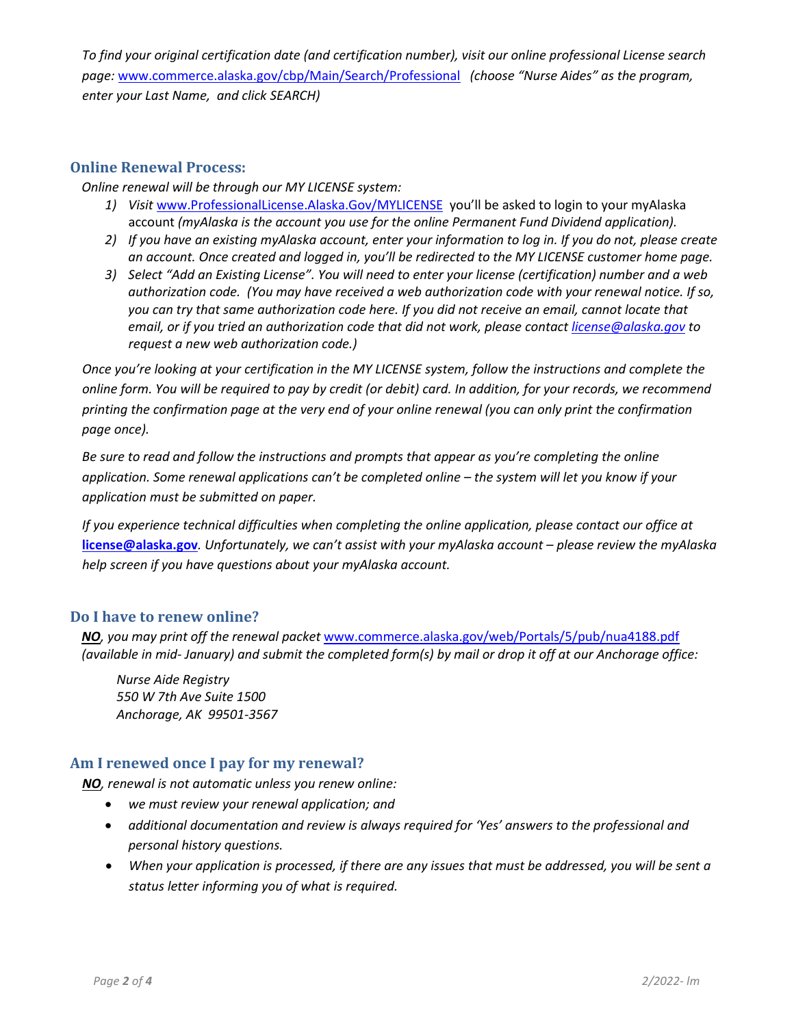*To find your original certification date (and certification number), visit our online professional License search page:* [www.commerce.alaska.gov/cbp/Main/Search/Professional](http://www.commerce.alaska.gov/cbp/Main/Search/Professional) *(choose "Nurse Aides" as the program, enter your Last Name, and click SEARCH)*

## **Online Renewal Process:**

*Online renewal will be through our MY LICENSE system:*

- 1) Visit [www.ProfessionalLicense.Alaska.Gov/MYLICENSE](http://www.professionallicense.alaska.gov/MYLICENSE) you'll be asked to login to your myAlaska account *(myAlaska is the account you use for the online Permanent Fund Dividend application).*
- *2) If you have an existing myAlaska account, enter your information to log in. If you do not, please create an account. Once created and logged in, you'll be redirected to the MY LICENSE customer home page.*
- *3) Select "Add an Existing License". You will need to enter your license (certification) number and a web authorization code. (You may have received a web authorization code with your renewal notice. If so, you can try that same authorization code here. If you did not receive an email, cannot locate that email, or if you tried an authorization code that did not work, please contact [license@alaska.gov](mailto:license@alaska.gov) to request a new web authorization code.)*

*Once you're looking at your certification in the MY LICENSE system, follow the instructions and complete the online form. You will be required to pay by credit (or debit) card. In addition, for your records, we recommend printing the confirmation page at the very end of your online renewal (you can only print the confirmation page once).* 

*Be sure to read and follow the instructions and prompts that appear as you're completing the online application. Some renewal applications can't be completed online – the system will let you know if your application must be submitted on paper.* 

*If you experience technical difficulties when completing the online application, please contact our office at* **[license@alaska.gov](mailto:license@alaska.gov)***. Unfortunately, we can't assist with your myAlaska account – please review the myAlaska help screen if you have questions about your myAlaska account.*

## **Do I have to renew online?**

*NO, you may print off the renewal packet* [www.commerce.alaska.gov/web/Portals/5/pub/nua4188.pdf](http://www.commerce.alaska.gov/web/Portals/5/pub/nua4188.pdf) *(available in mid- January) and submit the completed form(s) by mail or drop it off at our Anchorage office:*

*Nurse Aide Registry 550 W 7th Ave Suite 1500 Anchorage, AK 99501-3567*

## **Am I renewed once I pay for my renewal?**

*NO, renewal is not automatic unless you renew online:* 

- *we must review your renewal application; and*
- *additional documentation and review is always required for 'Yes' answers to the professional and personal history questions.*
- *When your application is processed, if there are any issues that must be addressed, you will be sent a status letter informing you of what is required.*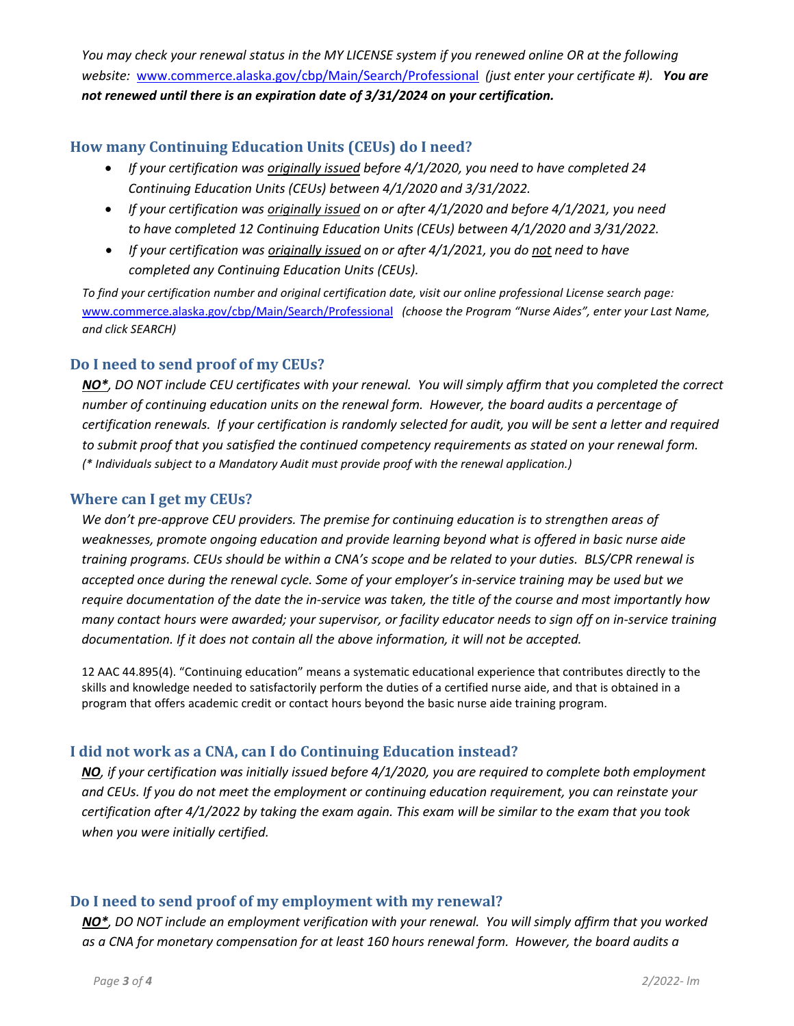*You may check your renewal status in the MY LICENSE system if you renewed online OR at the following website:* [www.commerce.alaska.gov/cbp/Main/Search/Professional](http://www.commerce.alaska.gov/cbp/Main/Search/Professional) *(just enter your certificate #). You are not renewed until there is an expiration date of 3/31/2024 on your certification.*

## **How many Continuing Education Units (CEUs) do I need?**

- *If your certification was originally issued before 4/1/2020, you need to have completed 24 Continuing Education Units (CEUs) between 4/1/2020 and 3/31/2022.*
- *If your certification was originally issued on or after 4/1/2020 and before 4/1/2021, you need to have completed 12 Continuing Education Units (CEUs) between 4/1/2020 and 3/31/2022.*
- *If your certification was originally issued on or after 4/1/2021, you do not need to have completed any Continuing Education Units (CEUs).*

*To find your certification number and original certification date, visit our online professional License search page:*  [www.commerce.alaska.gov/cbp/Main/Search/Professional](http://www.commerce.alaska.gov/cbp/Main/Search/Professional) *(choose the Program "Nurse Aides", enter your Last Name, and click SEARCH)*

## **Do I need to send proof of my CEUs?**

*NO\*, DO NOT include CEU certificates with your renewal. You will simply affirm that you completed the correct number of continuing education units on the renewal form. However, the board audits a percentage of certification renewals. If your certification is randomly selected for audit, you will be sent a letter and required to submit proof that you satisfied the continued competency requirements as stated on your renewal form. (\* Individuals subject to a Mandatory Audit must provide proof with the renewal application.)*

## **Where can I get my CEUs?**

*We don't pre-approve CEU providers. The premise for continuing education is to strengthen areas of weaknesses, promote ongoing education and provide learning beyond what is offered in basic nurse aide training programs. CEUs should be within a CNA's scope and be related to your duties. BLS/CPR renewal is accepted once during the renewal cycle. Some of your employer's in-service training may be used but we require documentation of the date the in-service was taken, the title of the course and most importantly how many contact hours were awarded; your supervisor, or facility educator needs to sign off on in-service training documentation. If it does not contain all the above information, it will not be accepted.*

12 AAC 44.895(4). "Continuing education" means a systematic educational experience that contributes directly to the skills and knowledge needed to satisfactorily perform the duties of a certified nurse aide, and that is obtained in a program that offers academic credit or contact hours beyond the basic nurse aide training program.

# **I did not work as a CNA, can I do Continuing Education instead?**

*NO, if your certification was initially issued before 4/1/2020, you are required to complete both employment and CEUs. If you do not meet the employment or continuing education requirement, you can reinstate your certification after 4/1/2022 by taking the exam again. This exam will be similar to the exam that you took when you were initially certified.*

# **Do I need to send proof of my employment with my renewal?**

*NO\*, DO NOT include an employment verification with your renewal. You will simply affirm that you worked as a CNA for monetary compensation for at least 160 hours renewal form. However, the board audits a*